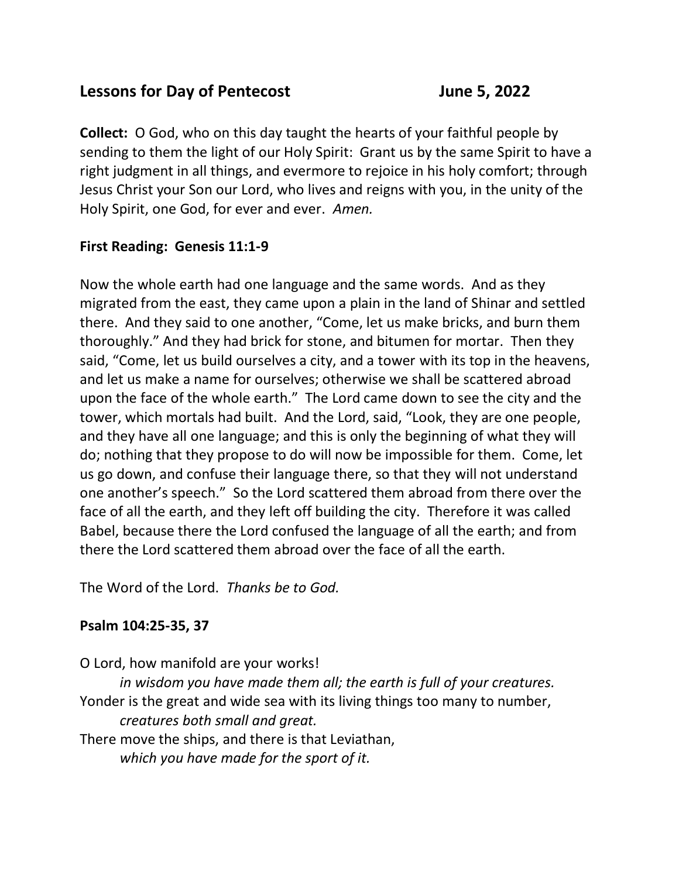# **Lessons for Day of Pentecost** June 5, 2022

**Collect:** O God, who on this day taught the hearts of your faithful people by sending to them the light of our Holy Spirit: Grant us by the same Spirit to have a right judgment in all things, and evermore to rejoice in his holy comfort; through Jesus Christ your Son our Lord, who lives and reigns with you, in the unity of the Holy Spirit, one God, for ever and ever. *Amen.*

# **First Reading: Genesis 11:1-9**

Now the whole earth had one language and the same words. And as they migrated from the east, they came upon a plain in the land of Shinar and settled there. And they said to one another, "Come, let us make bricks, and burn them thoroughly." And they had brick for stone, and bitumen for mortar. Then they said, "Come, let us build ourselves a city, and a tower with its top in the heavens, and let us make a name for ourselves; otherwise we shall be scattered abroad upon the face of the whole earth." The Lord came down to see the city and the tower, which mortals had built. And the Lord, said, "Look, they are one people, and they have all one language; and this is only the beginning of what they will do; nothing that they propose to do will now be impossible for them. Come, let us go down, and confuse their language there, so that they will not understand one another's speech." So the Lord scattered them abroad from there over the face of all the earth, and they left off building the city. Therefore it was called Babel, because there the Lord confused the language of all the earth; and from there the Lord scattered them abroad over the face of all the earth.

The Word of the Lord. *Thanks be to God.*

# **Psalm 104:25-35, 37**

O Lord, how manifold are your works! *in wisdom you have made them all; the earth is full of your creatures.* Yonder is the great and wide sea with its living things too many to number, *creatures both small and great.* There move the ships, and there is that Leviathan, *which you have made for the sport of it.*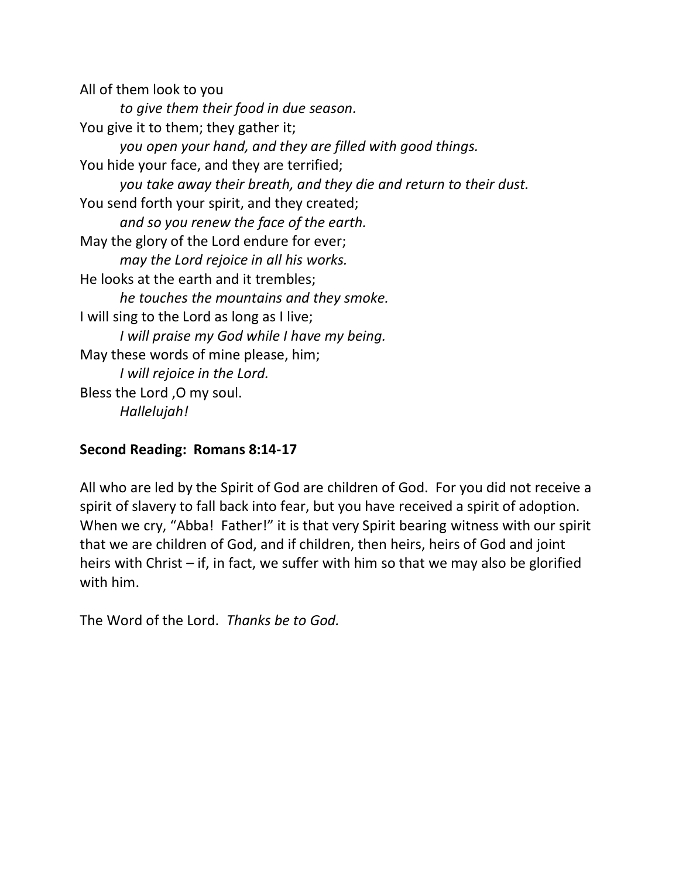All of them look to you *to give them their food in due season.* You give it to them; they gather it; *you open your hand, and they are filled with good things.* You hide your face, and they are terrified; *you take away their breath, and they die and return to their dust.* You send forth your spirit, and they created; *and so you renew the face of the earth.* May the glory of the Lord endure for ever; *may the Lord rejoice in all his works.* He looks at the earth and it trembles; *he touches the mountains and they smoke.* I will sing to the Lord as long as I live; *I will praise my God while I have my being.* May these words of mine please, him; *I will rejoice in the Lord.* Bless the Lord ,O my soul. *Hallelujah!*

### **Second Reading: Romans 8:14-17**

All who are led by the Spirit of God are children of God. For you did not receive a spirit of slavery to fall back into fear, but you have received a spirit of adoption. When we cry, "Abba! Father!" it is that very Spirit bearing witness with our spirit that we are children of God, and if children, then heirs, heirs of God and joint heirs with Christ – if, in fact, we suffer with him so that we may also be glorified with him.

The Word of the Lord. *Thanks be to God.*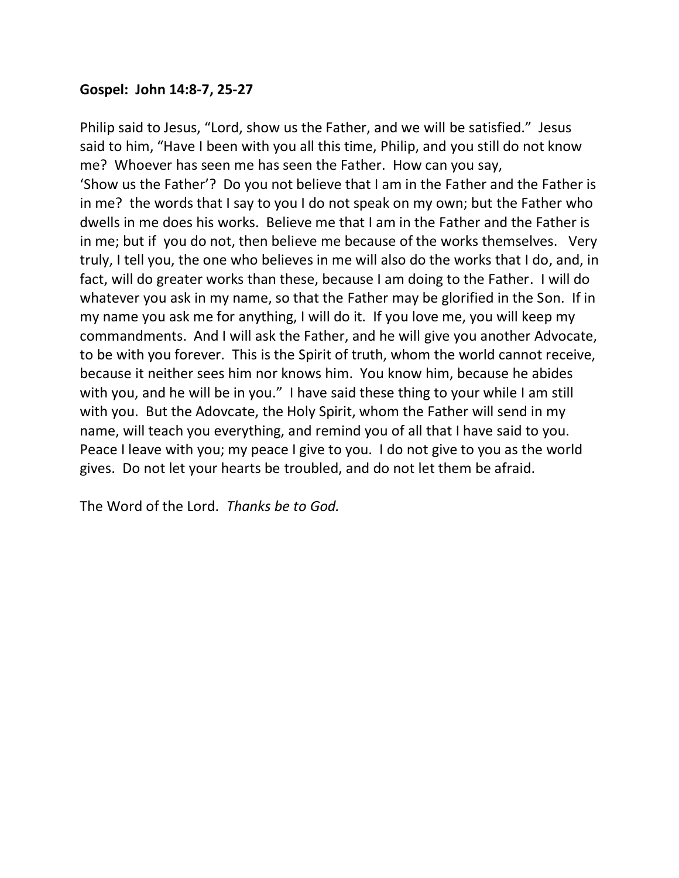#### **Gospel: John 14:8-7, 25-27**

Philip said to Jesus, "Lord, show us the Father, and we will be satisfied." Jesus said to him, "Have I been with you all this time, Philip, and you still do not know me? Whoever has seen me has seen the Father. How can you say, 'Show us the Father'? Do you not believe that I am in the Father and the Father is in me? the words that I say to you I do not speak on my own; but the Father who dwells in me does his works. Believe me that I am in the Father and the Father is in me; but if you do not, then believe me because of the works themselves. Very truly, I tell you, the one who believes in me will also do the works that I do, and, in fact, will do greater works than these, because I am doing to the Father. I will do whatever you ask in my name, so that the Father may be glorified in the Son. If in my name you ask me for anything, I will do it. If you love me, you will keep my commandments. And I will ask the Father, and he will give you another Advocate, to be with you forever. This is the Spirit of truth, whom the world cannot receive, because it neither sees him nor knows him. You know him, because he abides with you, and he will be in you." I have said these thing to your while I am still with you. But the Adovcate, the Holy Spirit, whom the Father will send in my name, will teach you everything, and remind you of all that I have said to you. Peace I leave with you; my peace I give to you. I do not give to you as the world gives. Do not let your hearts be troubled, and do not let them be afraid.

The Word of the Lord. *Thanks be to God.*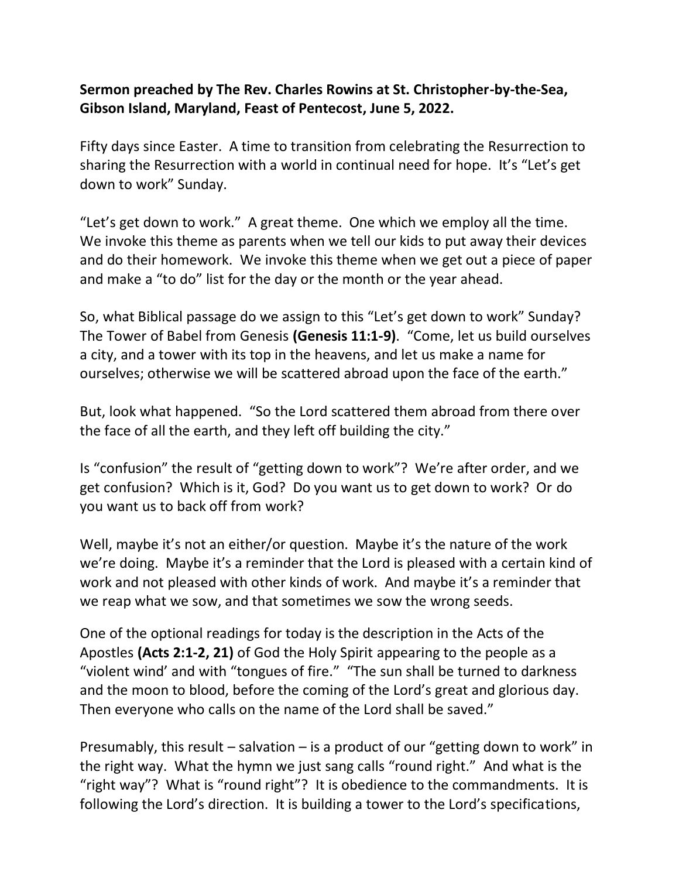### **Sermon preached by The Rev. Charles Rowins at St. Christopher-by-the-Sea, Gibson Island, Maryland, Feast of Pentecost, June 5, 2022.**

Fifty days since Easter. A time to transition from celebrating the Resurrection to sharing the Resurrection with a world in continual need for hope. It's "Let's get down to work" Sunday.

"Let's get down to work." A great theme. One which we employ all the time. We invoke this theme as parents when we tell our kids to put away their devices and do their homework. We invoke this theme when we get out a piece of paper and make a "to do" list for the day or the month or the year ahead.

So, what Biblical passage do we assign to this "Let's get down to work" Sunday? The Tower of Babel from Genesis **(Genesis 11:1-9)**. "Come, let us build ourselves a city, and a tower with its top in the heavens, and let us make a name for ourselves; otherwise we will be scattered abroad upon the face of the earth."

But, look what happened. "So the Lord scattered them abroad from there over the face of all the earth, and they left off building the city."

Is "confusion" the result of "getting down to work"? We're after order, and we get confusion? Which is it, God? Do you want us to get down to work? Or do you want us to back off from work?

Well, maybe it's not an either/or question. Maybe it's the nature of the work we're doing. Maybe it's a reminder that the Lord is pleased with a certain kind of work and not pleased with other kinds of work. And maybe it's a reminder that we reap what we sow, and that sometimes we sow the wrong seeds.

One of the optional readings for today is the description in the Acts of the Apostles **(Acts 2:1-2, 21)** of God the Holy Spirit appearing to the people as a "violent wind' and with "tongues of fire." "The sun shall be turned to darkness and the moon to blood, before the coming of the Lord's great and glorious day. Then everyone who calls on the name of the Lord shall be saved."

Presumably, this result – salvation – is a product of our "getting down to work" in the right way. What the hymn we just sang calls "round right." And what is the "right way"? What is "round right"? It is obedience to the commandments. It is following the Lord's direction. It is building a tower to the Lord's specifications,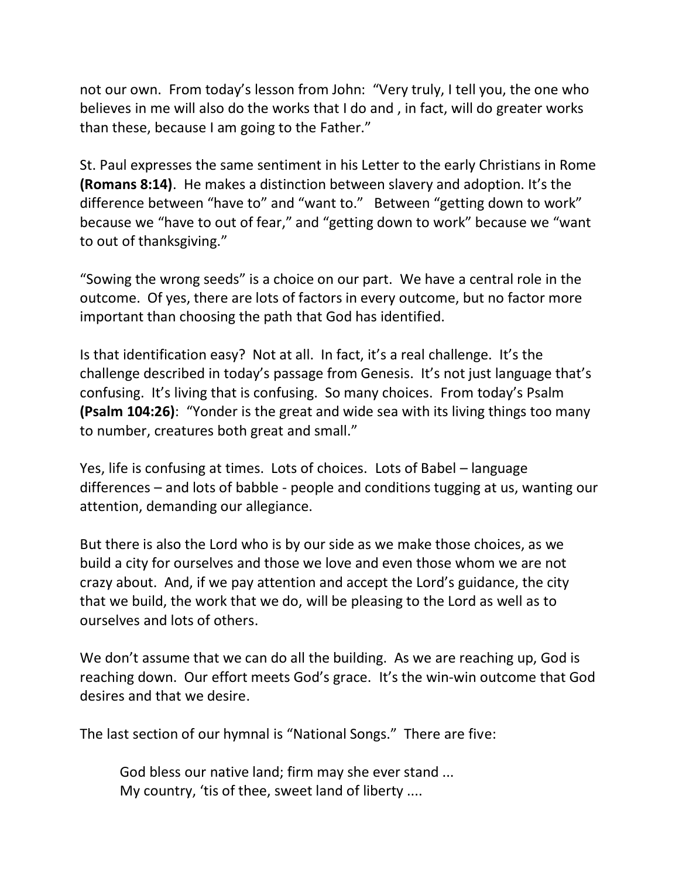not our own. From today's lesson from John: "Very truly, I tell you, the one who believes in me will also do the works that I do and , in fact, will do greater works than these, because I am going to the Father."

St. Paul expresses the same sentiment in his Letter to the early Christians in Rome **(Romans 8:14)**. He makes a distinction between slavery and adoption. It's the difference between "have to" and "want to." Between "getting down to work" because we "have to out of fear," and "getting down to work" because we "want to out of thanksgiving."

"Sowing the wrong seeds" is a choice on our part. We have a central role in the outcome. Of yes, there are lots of factors in every outcome, but no factor more important than choosing the path that God has identified.

Is that identification easy? Not at all. In fact, it's a real challenge. It's the challenge described in today's passage from Genesis. It's not just language that's confusing. It's living that is confusing. So many choices. From today's Psalm **(Psalm 104:26)**: "Yonder is the great and wide sea with its living things too many to number, creatures both great and small."

Yes, life is confusing at times. Lots of choices. Lots of Babel – language differences – and lots of babble - people and conditions tugging at us, wanting our attention, demanding our allegiance.

But there is also the Lord who is by our side as we make those choices, as we build a city for ourselves and those we love and even those whom we are not crazy about. And, if we pay attention and accept the Lord's guidance, the city that we build, the work that we do, will be pleasing to the Lord as well as to ourselves and lots of others.

We don't assume that we can do all the building. As we are reaching up, God is reaching down. Our effort meets God's grace. It's the win-win outcome that God desires and that we desire.

The last section of our hymnal is "National Songs." There are five:

God bless our native land; firm may she ever stand ... My country, 'tis of thee, sweet land of liberty ....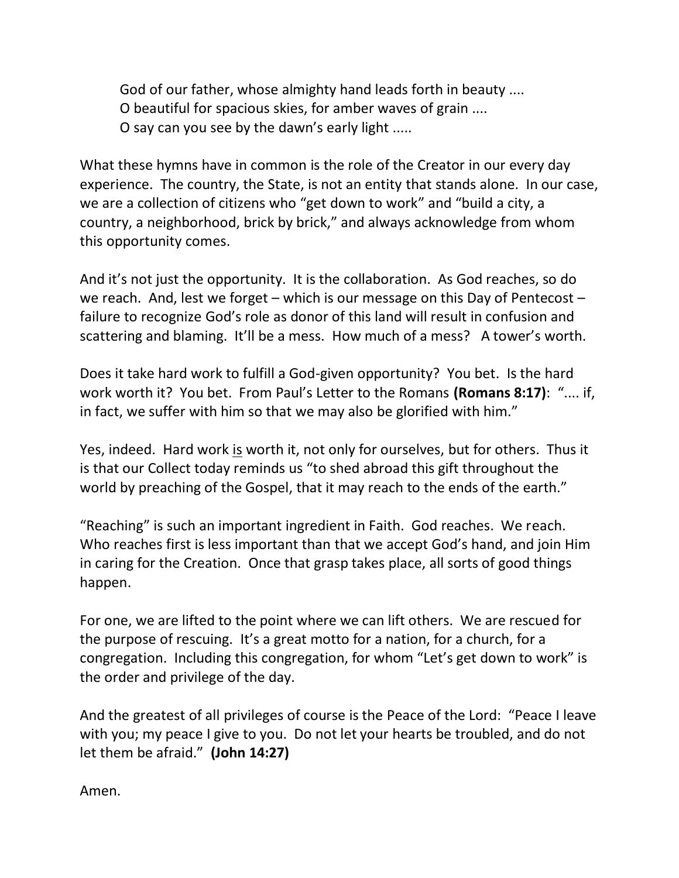God of our father, whose almighty hand leads forth in beauty .... O beautiful for spacious skies, for amber waves of grain .... O say can you see by the dawn's early light .....

What these hymns have in common is the role of the Creator in our every day experience. The country, the State, is not an entity that stands alone. In our case, we are a collection of citizens who "get down to work" and "build a city, a country, a neighborhood, brick by brick," and always acknowledge from whom this opportunity comes.

And it's not just the opportunity. It is the collaboration. As God reaches, so do we reach. And, lest we forget – which is our message on this Day of Pentecost – failure to recognize God's role as donor of this land will result in confusion and scattering and blaming. It'll be a mess. How much of a mess? A tower's worth.

Does it take hard work to fulfill a God-given opportunity? You bet. Is the hard work worth it? You bet. From Paul's Letter to the Romans **(Romans 8:17)**: ".... if, in fact, we suffer with him so that we may also be glorified with him."

Yes, indeed. Hard work is worth it, not only for ourselves, but for others. Thus it is that our Collect today reminds us "to shed abroad this gift throughout the world by preaching of the Gospel, that it may reach to the ends of the earth."

"Reaching" is such an important ingredient in Faith. God reaches. We reach. Who reaches first is less important than that we accept God's hand, and join Him in caring for the Creation. Once that grasp takes place, all sorts of good things happen.

For one, we are lifted to the point where we can lift others. We are rescued for the purpose of rescuing. It's a great motto for a nation, for a church, for a congregation. Including this congregation, for whom "Let's get down to work" is the order and privilege of the day.

And the greatest of all privileges of course is the Peace of the Lord: "Peace I leave with you; my peace I give to you. Do not let your hearts be troubled, and do not let them be afraid." **(John 14:27)**

Amen.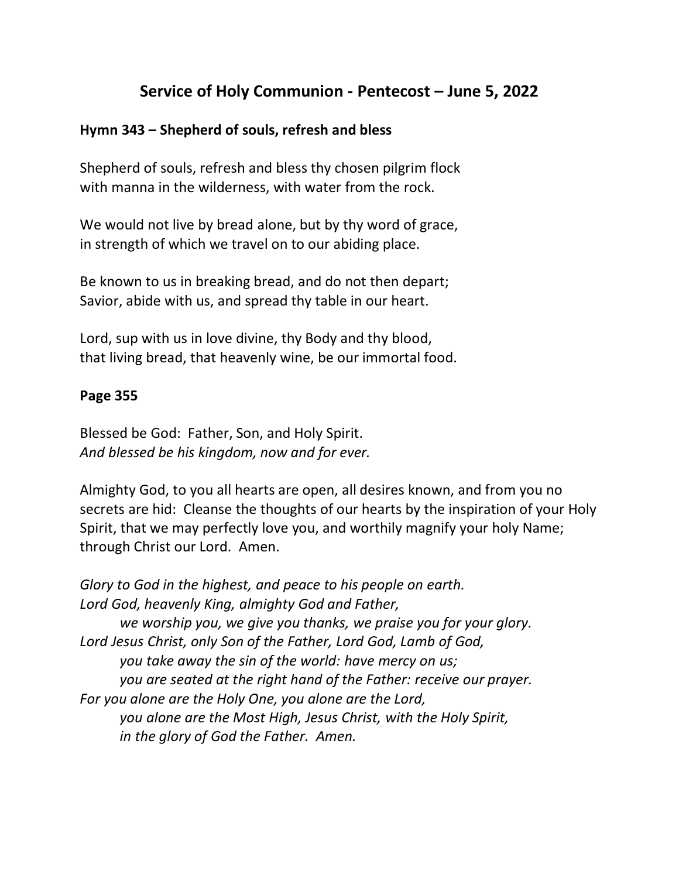# **Service of Holy Communion - Pentecost – June 5, 2022**

### **Hymn 343 – Shepherd of souls, refresh and bless**

Shepherd of souls, refresh and bless thy chosen pilgrim flock with manna in the wilderness, with water from the rock.

We would not live by bread alone, but by thy word of grace, in strength of which we travel on to our abiding place.

Be known to us in breaking bread, and do not then depart; Savior, abide with us, and spread thy table in our heart.

Lord, sup with us in love divine, thy Body and thy blood, that living bread, that heavenly wine, be our immortal food.

### **Page 355**

Blessed be God: Father, Son, and Holy Spirit. *And blessed be his kingdom, now and for ever.*

Almighty God, to you all hearts are open, all desires known, and from you no secrets are hid: Cleanse the thoughts of our hearts by the inspiration of your Holy Spirit, that we may perfectly love you, and worthily magnify your holy Name; through Christ our Lord. Amen.

*Glory to God in the highest, and peace to his people on earth. Lord God, heavenly King, almighty God and Father, we worship you, we give you thanks, we praise you for your glory. Lord Jesus Christ, only Son of the Father, Lord God, Lamb of God, you take away the sin of the world: have mercy on us; you are seated at the right hand of the Father: receive our prayer. For you alone are the Holy One, you alone are the Lord, you alone are the Most High, Jesus Christ, with the Holy Spirit, in the glory of God the Father. Amen.*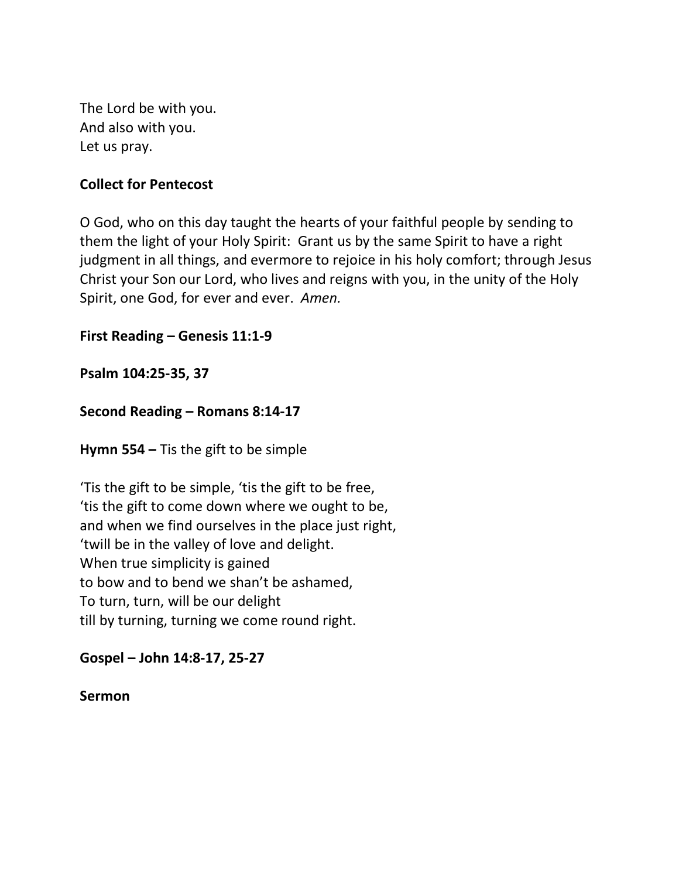The Lord be with you. And also with you. Let us pray.

### **Collect for Pentecost**

O God, who on this day taught the hearts of your faithful people by sending to them the light of your Holy Spirit: Grant us by the same Spirit to have a right judgment in all things, and evermore to rejoice in his holy comfort; through Jesus Christ your Son our Lord, who lives and reigns with you, in the unity of the Holy Spirit, one God, for ever and ever. *Amen.*

**First Reading – Genesis 11:1-9**

**Psalm 104:25-35, 37**

**Second Reading – Romans 8:14-17**

**Hymn 554 –** Tis the gift to be simple

'Tis the gift to be simple, 'tis the gift to be free, 'tis the gift to come down where we ought to be, and when we find ourselves in the place just right, 'twill be in the valley of love and delight. When true simplicity is gained to bow and to bend we shan't be ashamed, To turn, turn, will be our delight till by turning, turning we come round right.

**Gospel – John 14:8-17, 25-27**

**Sermon**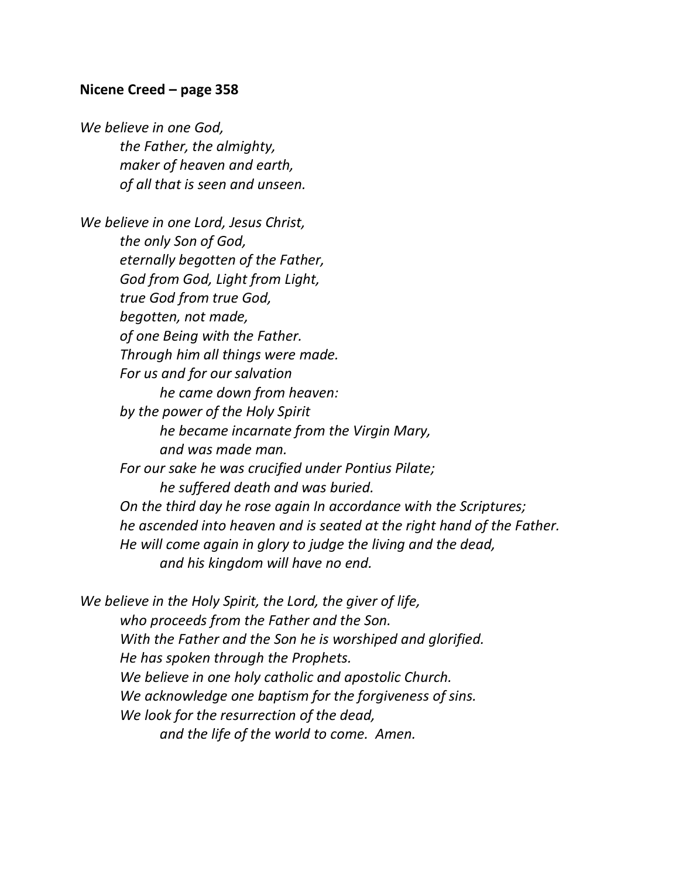#### **Nicene Creed – page 358**

*We believe in one God, the Father, the almighty, maker of heaven and earth, of all that is seen and unseen.*

*We believe in one Lord, Jesus Christ, the only Son of God, eternally begotten of the Father, God from God, Light from Light, true God from true God, begotten, not made, of one Being with the Father. Through him all things were made. For us and for our salvation he came down from heaven: by the power of the Holy Spirit he became incarnate from the Virgin Mary, and was made man. For our sake he was crucified under Pontius Pilate; he suffered death and was buried. On the third day he rose again In accordance with the Scriptures; he ascended into heaven and is seated at the right hand of the Father. He will come again in glory to judge the living and the dead, and his kingdom will have no end.*

*We believe in the Holy Spirit, the Lord, the giver of life, who proceeds from the Father and the Son. With the Father and the Son he is worshiped and glorified. He has spoken through the Prophets. We believe in one holy catholic and apostolic Church. We acknowledge one baptism for the forgiveness of sins. We look for the resurrection of the dead, and the life of the world to come. Amen.*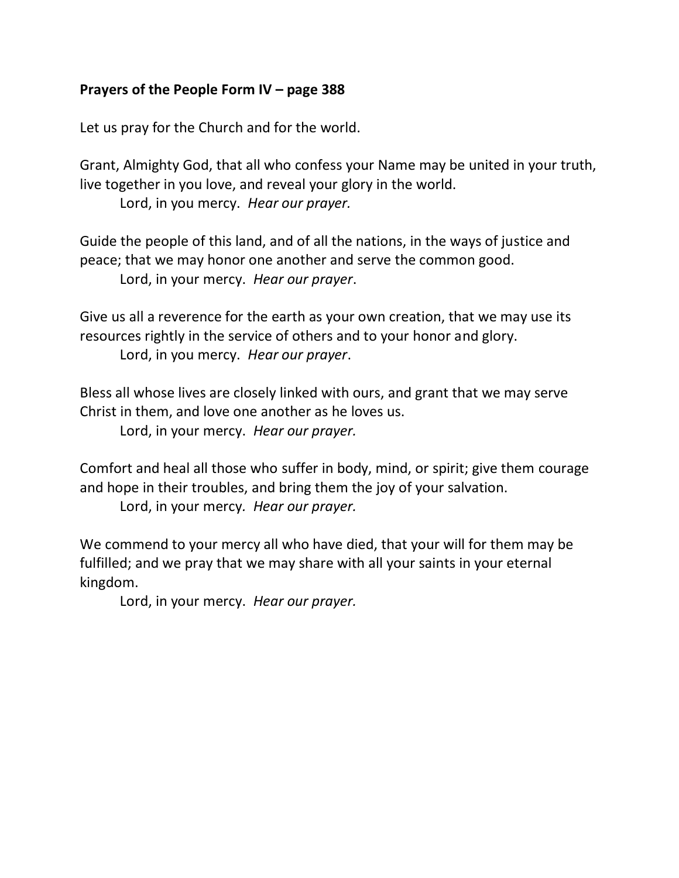### **Prayers of the People Form IV – page 388**

Let us pray for the Church and for the world.

Grant, Almighty God, that all who confess your Name may be united in your truth, live together in you love, and reveal your glory in the world.

Lord, in you mercy. *Hear our prayer.*

Guide the people of this land, and of all the nations, in the ways of justice and peace; that we may honor one another and serve the common good. Lord, in your mercy. *Hear our prayer*.

Give us all a reverence for the earth as your own creation, that we may use its resources rightly in the service of others and to your honor and glory. Lord, in you mercy. *Hear our prayer*.

Bless all whose lives are closely linked with ours, and grant that we may serve Christ in them, and love one another as he loves us.

Lord, in your mercy. *Hear our prayer.*

Comfort and heal all those who suffer in body, mind, or spirit; give them courage and hope in their troubles, and bring them the joy of your salvation.

Lord, in your mercy*. Hear our prayer.*

We commend to your mercy all who have died, that your will for them may be fulfilled; and we pray that we may share with all your saints in your eternal kingdom.

Lord, in your mercy. *Hear our prayer.*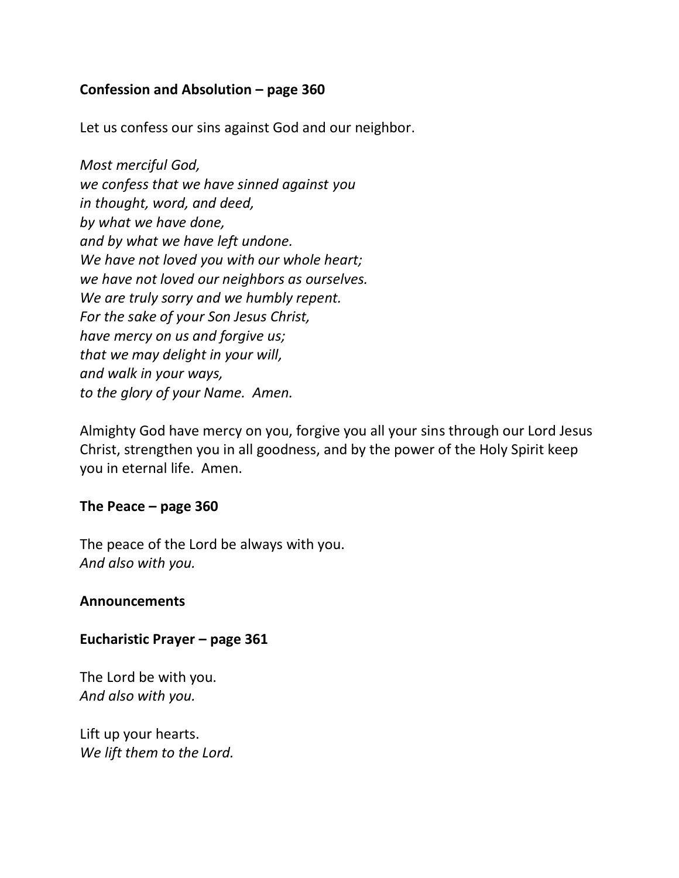### **Confession and Absolution – page 360**

Let us confess our sins against God and our neighbor.

*Most merciful God, we confess that we have sinned against you in thought, word, and deed, by what we have done, and by what we have left undone. We have not loved you with our whole heart; we have not loved our neighbors as ourselves. We are truly sorry and we humbly repent. For the sake of your Son Jesus Christ, have mercy on us and forgive us; that we may delight in your will, and walk in your ways, to the glory of your Name. Amen.*

Almighty God have mercy on you, forgive you all your sins through our Lord Jesus Christ, strengthen you in all goodness, and by the power of the Holy Spirit keep you in eternal life. Amen.

#### **The Peace – page 360**

The peace of the Lord be always with you. *And also with you.*

#### **Announcements**

#### **Eucharistic Prayer – page 361**

The Lord be with you. *And also with you.*

Lift up your hearts. *We lift them to the Lord.*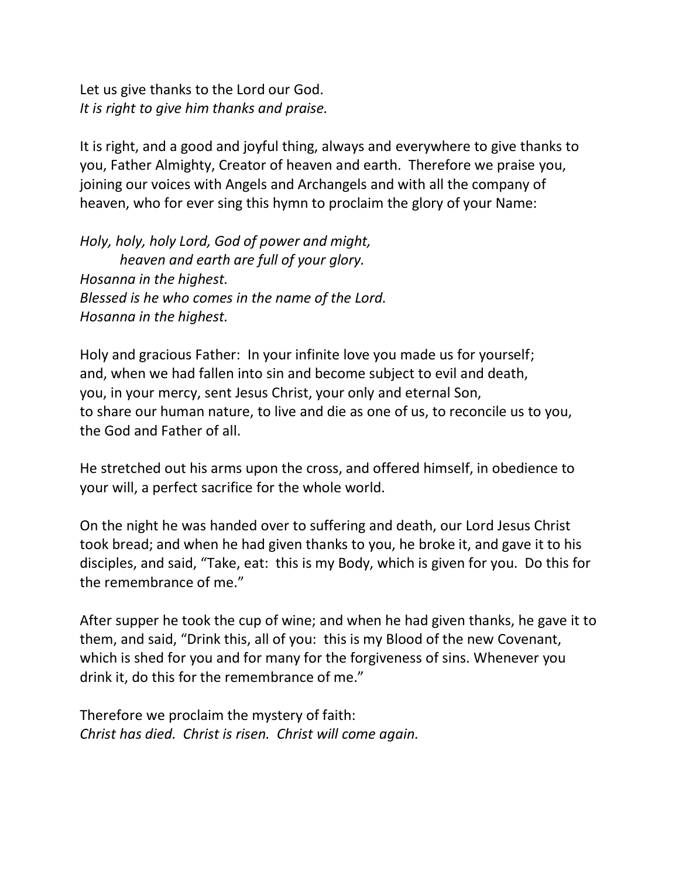Let us give thanks to the Lord our God. *It is right to give him thanks and praise.*

It is right, and a good and joyful thing, always and everywhere to give thanks to you, Father Almighty, Creator of heaven and earth. Therefore we praise you, joining our voices with Angels and Archangels and with all the company of heaven, who for ever sing this hymn to proclaim the glory of your Name:

*Holy, holy, holy Lord, God of power and might, heaven and earth are full of your glory. Hosanna in the highest. Blessed is he who comes in the name of the Lord. Hosanna in the highest.*

Holy and gracious Father: In your infinite love you made us for yourself; and, when we had fallen into sin and become subject to evil and death, you, in your mercy, sent Jesus Christ, your only and eternal Son, to share our human nature, to live and die as one of us, to reconcile us to you, the God and Father of all.

He stretched out his arms upon the cross, and offered himself, in obedience to your will, a perfect sacrifice for the whole world.

On the night he was handed over to suffering and death, our Lord Jesus Christ took bread; and when he had given thanks to you, he broke it, and gave it to his disciples, and said, "Take, eat: this is my Body, which is given for you. Do this for the remembrance of me."

After supper he took the cup of wine; and when he had given thanks, he gave it to them, and said, "Drink this, all of you: this is my Blood of the new Covenant, which is shed for you and for many for the forgiveness of sins. Whenever you drink it, do this for the remembrance of me."

Therefore we proclaim the mystery of faith: *Christ has died. Christ is risen. Christ will come again.*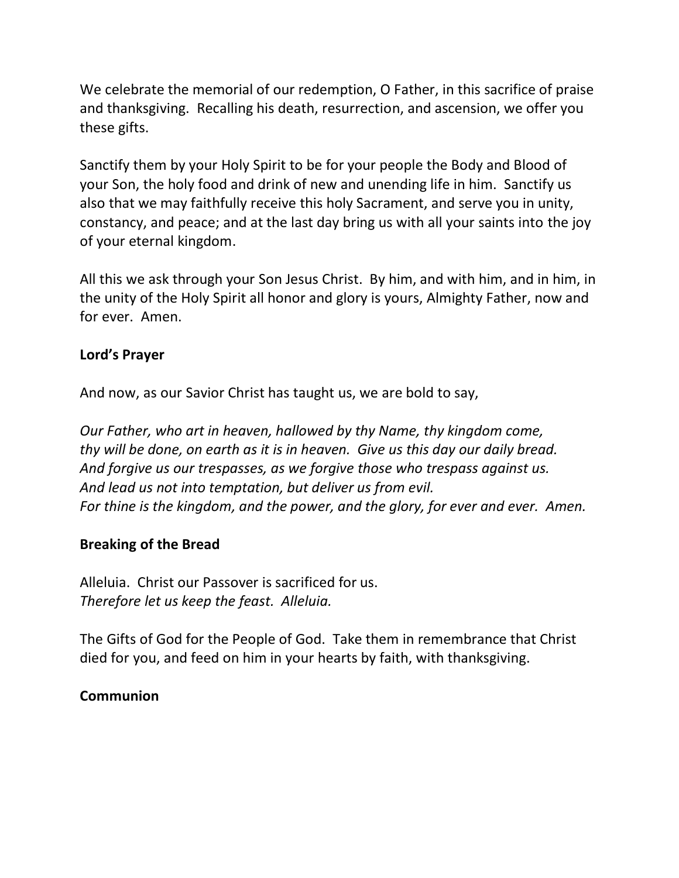We celebrate the memorial of our redemption, O Father, in this sacrifice of praise and thanksgiving. Recalling his death, resurrection, and ascension, we offer you these gifts.

Sanctify them by your Holy Spirit to be for your people the Body and Blood of your Son, the holy food and drink of new and unending life in him. Sanctify us also that we may faithfully receive this holy Sacrament, and serve you in unity, constancy, and peace; and at the last day bring us with all your saints into the joy of your eternal kingdom.

All this we ask through your Son Jesus Christ. By him, and with him, and in him, in the unity of the Holy Spirit all honor and glory is yours, Almighty Father, now and for ever. Amen.

### **Lord's Prayer**

And now, as our Savior Christ has taught us, we are bold to say,

*Our Father, who art in heaven, hallowed by thy Name, thy kingdom come, thy will be done, on earth as it is in heaven. Give us this day our daily bread. And forgive us our trespasses, as we forgive those who trespass against us. And lead us not into temptation, but deliver us from evil. For thine is the kingdom, and the power, and the glory, for ever and ever. Amen.*

## **Breaking of the Bread**

Alleluia. Christ our Passover is sacrificed for us. *Therefore let us keep the feast. Alleluia.*

The Gifts of God for the People of God. Take them in remembrance that Christ died for you, and feed on him in your hearts by faith, with thanksgiving.

### **Communion**